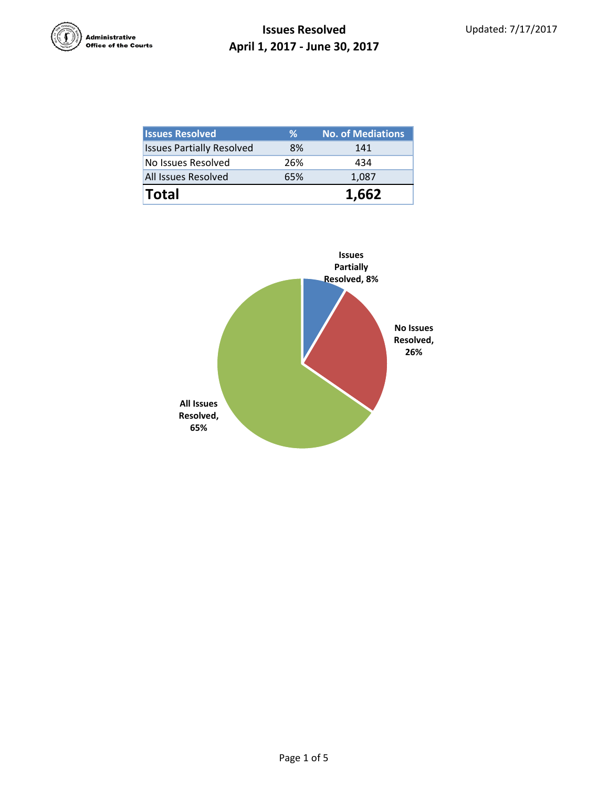

| <b>Issues Resolved</b>           | ℅   | <b>No. of Mediations</b> |
|----------------------------------|-----|--------------------------|
| <b>Issues Partially Resolved</b> | 8%  | 141                      |
| No Issues Resolved               | 26% | 434                      |
| All Issues Resolved              | 65% | 1,087                    |
| <b>Total</b>                     |     | 1,662                    |

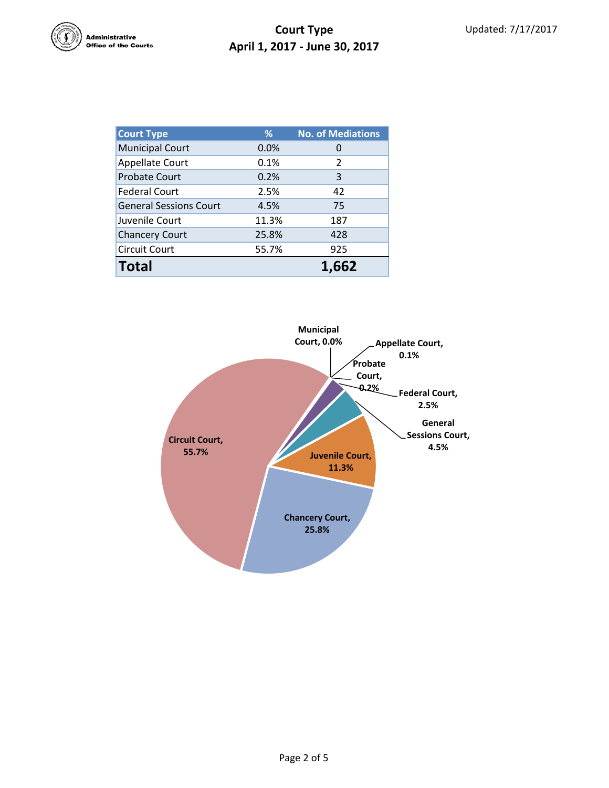

## **Court Type April 1, 2017 - June 30, 2017**

| <b>Court Type</b>             | ℅            | <b>No. of Mediations</b> |  |
|-------------------------------|--------------|--------------------------|--|
| <b>Municipal Court</b>        | 0.0%         | $\Omega$                 |  |
| <b>Appellate Court</b>        | 0.1%         | 2                        |  |
| <b>Probate Court</b>          | 0.2%         | 3                        |  |
| <b>Federal Court</b>          | 2.5%         | 42                       |  |
| <b>General Sessions Court</b> | 4.5%         | 75                       |  |
| Juvenile Court                | 11.3%        | 187                      |  |
| <b>Chancery Court</b>         | 25.8%        | 428                      |  |
| <b>Circuit Court</b>          | 55.7%<br>925 |                          |  |
| <b>Total</b>                  |              | 1.662                    |  |

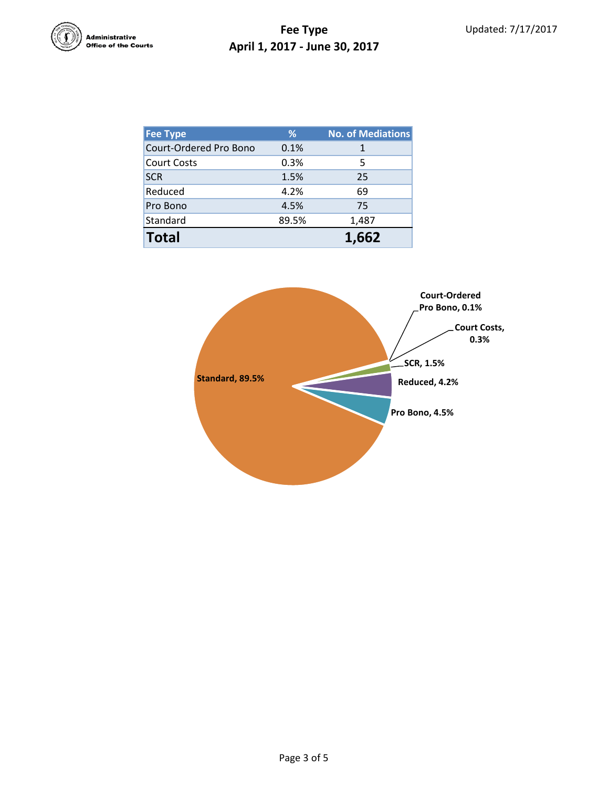

## **Fee Type April 1, 2017 - June 30, 2017**

| <b>Fee Type</b>        | %     | <b>No. of Mediations</b> |
|------------------------|-------|--------------------------|
| Court-Ordered Pro Bono | 0.1%  | 1                        |
| <b>Court Costs</b>     | 0.3%  | 5                        |
| <b>SCR</b>             | 1.5%  | 25                       |
| Reduced                | 4.2%  | 69                       |
| Pro Bono               | 4.5%  | 75                       |
| Standard               | 89.5% | 1,487                    |
| <b>Total</b>           |       | 1,662                    |

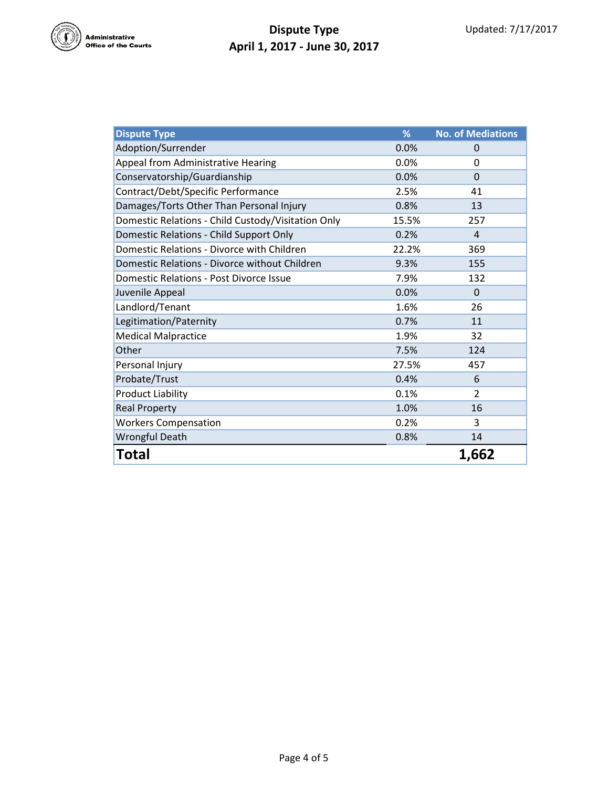

## **Dispute Type April 1, 2017 - June 30, 2017**

| <b>Dispute Type</b>                                | %     | <b>No. of Mediations</b> |
|----------------------------------------------------|-------|--------------------------|
| Adoption/Surrender                                 | 0.0%  | 0                        |
| Appeal from Administrative Hearing                 | 0.0%  | $\Omega$                 |
| Conservatorship/Guardianship                       | 0.0%  | $\Omega$                 |
| Contract/Debt/Specific Performance                 | 2.5%  | 41                       |
| Damages/Torts Other Than Personal Injury           | 0.8%  | 13                       |
| Domestic Relations - Child Custody/Visitation Only | 15.5% | 257                      |
| Domestic Relations - Child Support Only            | 0.2%  | 4                        |
| Domestic Relations - Divorce with Children         | 22.2% | 369                      |
| Domestic Relations - Divorce without Children      | 9.3%  | 155                      |
| <b>Domestic Relations - Post Divorce Issue</b>     | 7.9%  | 132                      |
| Juvenile Appeal                                    | 0.0%  | $\Omega$                 |
| Landlord/Tenant                                    | 1.6%  | 26                       |
| Legitimation/Paternity                             | 0.7%  | 11                       |
| <b>Medical Malpractice</b>                         | 1.9%  | 32                       |
| Other                                              | 7.5%  | 124                      |
| Personal Injury                                    | 27.5% | 457                      |
| Probate/Trust                                      | 0.4%  | 6                        |
| <b>Product Liability</b>                           | 0.1%  | $\overline{2}$           |
| <b>Real Property</b>                               | 1.0%  | 16                       |
| <b>Workers Compensation</b>                        | 0.2%  | 3                        |
| <b>Wrongful Death</b>                              | 0.8%  | 14                       |
| Total                                              |       | 1,662                    |